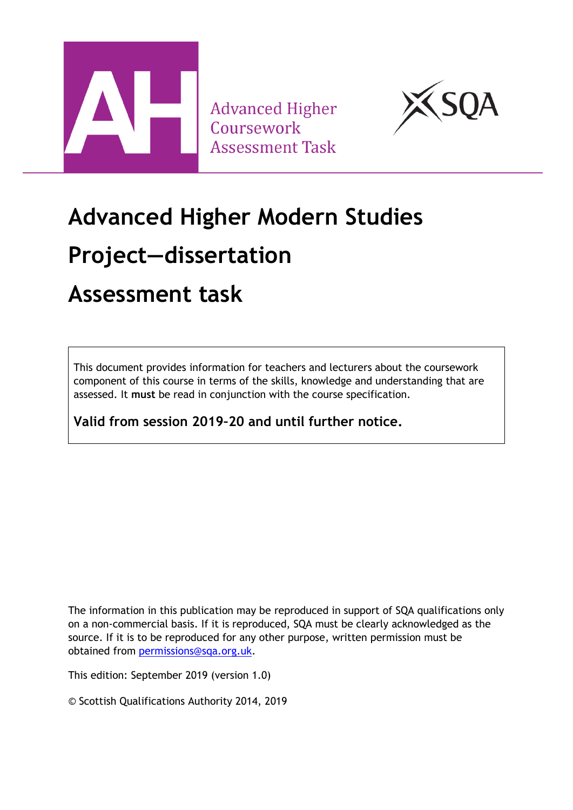

**Advanced Higher** Coursework **Assessment Task** 



# **Advanced Higher Modern Studies Project—dissertation**

### **Assessment task**

This document provides information for teachers and lecturers about the coursework component of this course in terms of the skills, knowledge and understanding that are assessed. It **must** be read in conjunction with the course specification.

**Valid from session 2019–20 and until further notice.** 

The information in this publication may be reproduced in support of SQA qualifications only on a non-commercial basis. If it is reproduced, SQA must be clearly acknowledged as the source. If it is to be reproduced for any other purpose, written permission must be obtained from [permissions@sqa.org.uk.](mailto:permissions@sqa.org.uk)

This edition: September 2019 (version 1.0)

© Scottish Qualifications Authority 2014, 2019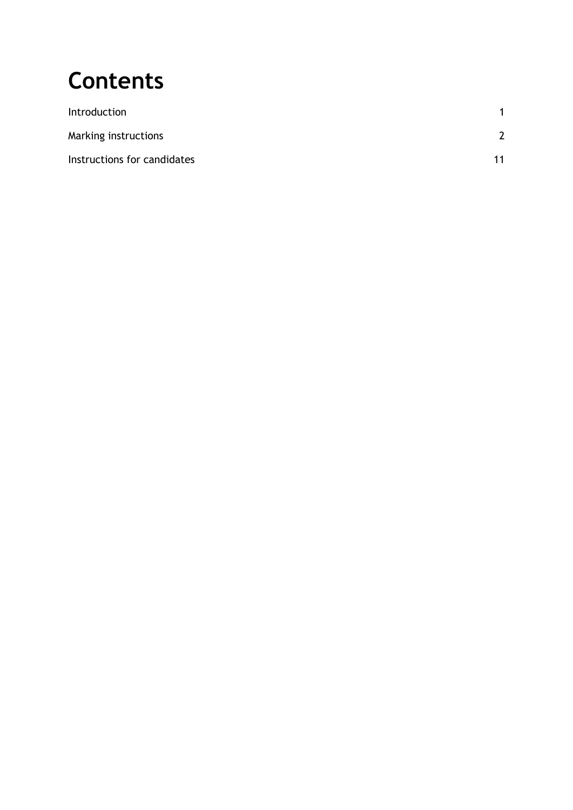## **Contents**

| Introduction                |               |
|-----------------------------|---------------|
| Marking instructions        | $\mathcal{P}$ |
| Instructions for candidates | 11            |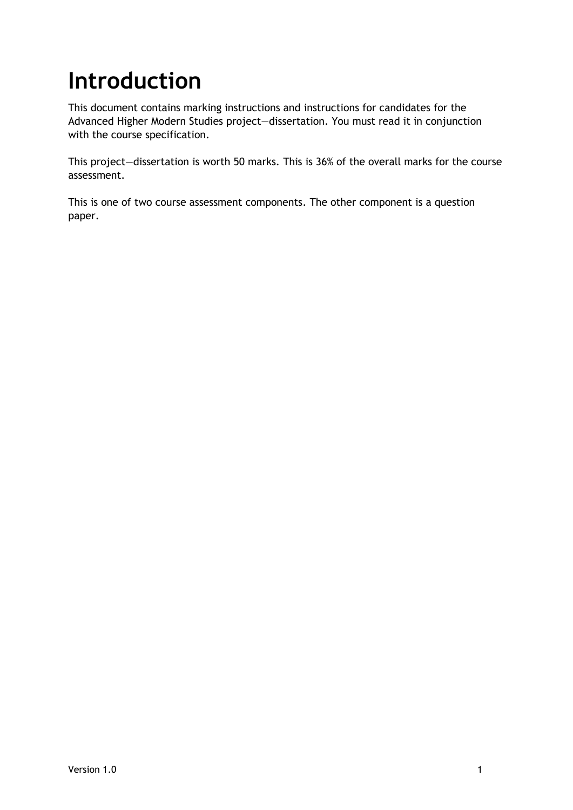## <span id="page-2-0"></span>**Introduction**

This document contains marking instructions and instructions for candidates for the Advanced Higher Modern Studies project—dissertation. You must read it in conjunction with the course specification.

This project—dissertation is worth 50 marks. This is 36% of the overall marks for the course assessment.

This is one of two course assessment components. The other component is a question paper.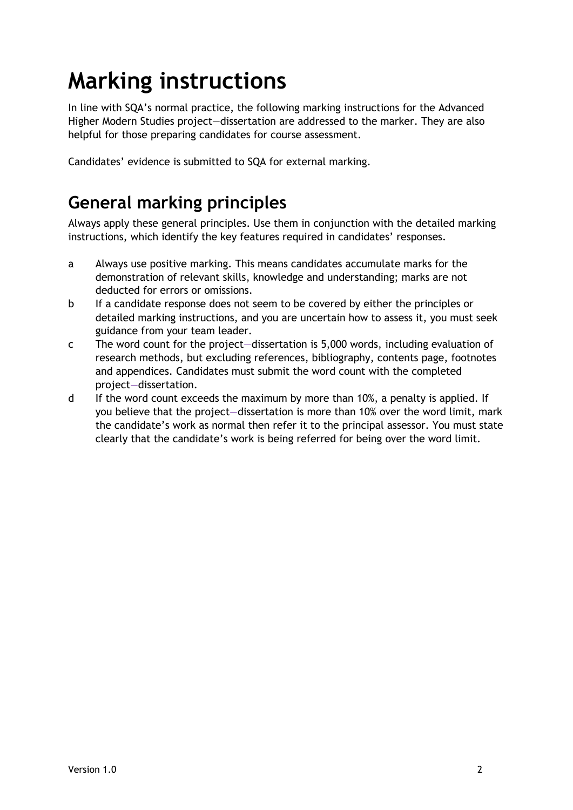## <span id="page-3-0"></span>**Marking instructions**

In line with SQA's normal practice, the following marking instructions for the Advanced Higher Modern Studies project—dissertation are addressed to the marker. They are also helpful for those preparing candidates for course assessment.

Candidates' evidence is submitted to SQA for external marking.

### **General marking principles**

Always apply these general principles. Use them in conjunction with the detailed marking instructions, which identify the key features required in candidates' responses.

- a Always use positive marking. This means candidates accumulate marks for the demonstration of relevant skills, knowledge and understanding; marks are not deducted for errors or omissions.
- b If a candidate response does not seem to be covered by either the principles or detailed marking instructions, and you are uncertain how to assess it, you must seek guidance from your team leader.
- c The word count for the project—dissertation is 5,000 words, including evaluation of research methods, but excluding references, bibliography, contents page, footnotes and appendices. Candidates must submit the word count with the completed project—dissertation.
- d If the word count exceeds the maximum by more than 10%, a penalty is applied. If you believe that the project—dissertation is more than 10% over the word limit, mark the candidate's work as normal then refer it to the principal assessor. You must state clearly that the candidate's work is being referred for being over the word limit.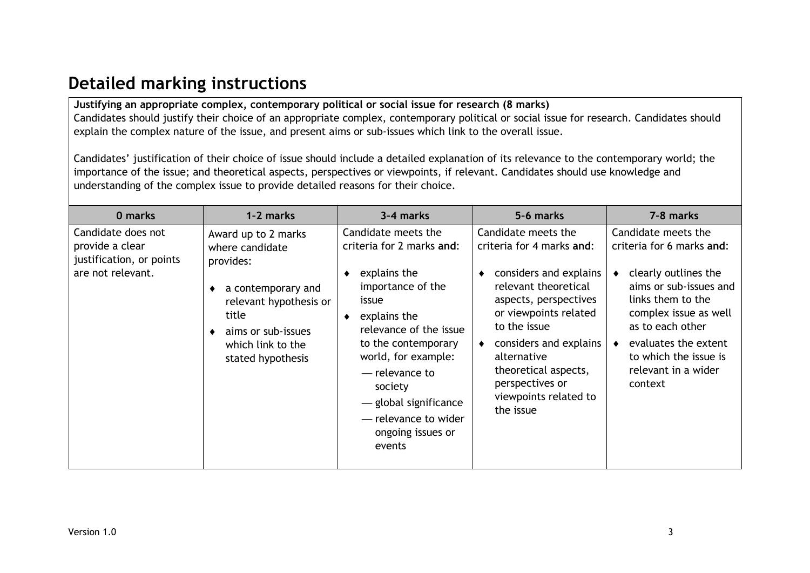### **Detailed marking instructions**

**Justifying an appropriate complex, contemporary political or social issue for research (8 marks)** Candidates should justify their choice of an appropriate complex, contemporary political or social issue for research. Candidates should explain the complex nature of the issue, and present aims or sub-issues which link to the overall issue.

Candidates' justification of their choice of issue should include a detailed explanation of its relevance to the contemporary world; the importance of the issue; and theoretical aspects, perspectives or viewpoints, if relevant. Candidates should use knowledge and understanding of the complex issue to provide detailed reasons for their choice.

| 0 marks                                                                                | 1-2 marks                                                                                                                                                                    | 3-4 marks                                                                                                                                                                                                                                                                                                | 5-6 marks                                                                                                                                                                                                                                                                                                   | 7-8 marks                                                                                                                                                                                                                                               |
|----------------------------------------------------------------------------------------|------------------------------------------------------------------------------------------------------------------------------------------------------------------------------|----------------------------------------------------------------------------------------------------------------------------------------------------------------------------------------------------------------------------------------------------------------------------------------------------------|-------------------------------------------------------------------------------------------------------------------------------------------------------------------------------------------------------------------------------------------------------------------------------------------------------------|---------------------------------------------------------------------------------------------------------------------------------------------------------------------------------------------------------------------------------------------------------|
| Candidate does not<br>provide a clear<br>justification, or points<br>are not relevant. | Award up to 2 marks<br>where candidate<br>provides:<br>a contemporary and<br>relevant hypothesis or<br>title<br>aims or sub-issues<br>which link to the<br>stated hypothesis | Candidate meets the<br>criteria for 2 marks and:<br>explains the<br>importance of the<br>issue<br>explains the<br>٠<br>relevance of the issue<br>to the contemporary<br>world, for example:<br>— relevance to<br>society<br>- global significance<br>- relevance to wider<br>ongoing issues or<br>events | Candidate meets the<br>criteria for 4 marks and:<br>considers and explains<br>relevant theoretical<br>aspects, perspectives<br>or viewpoints related<br>to the issue<br>considers and explains<br>$\bullet$<br>alternative<br>theoretical aspects,<br>perspectives or<br>viewpoints related to<br>the issue | Candidate meets the<br>criteria for 6 marks and:<br>clearly outlines the<br>aims or sub-issues and<br>links them to the<br>complex issue as well<br>as to each other<br>evaluates the extent<br>to which the issue is<br>relevant in a wider<br>context |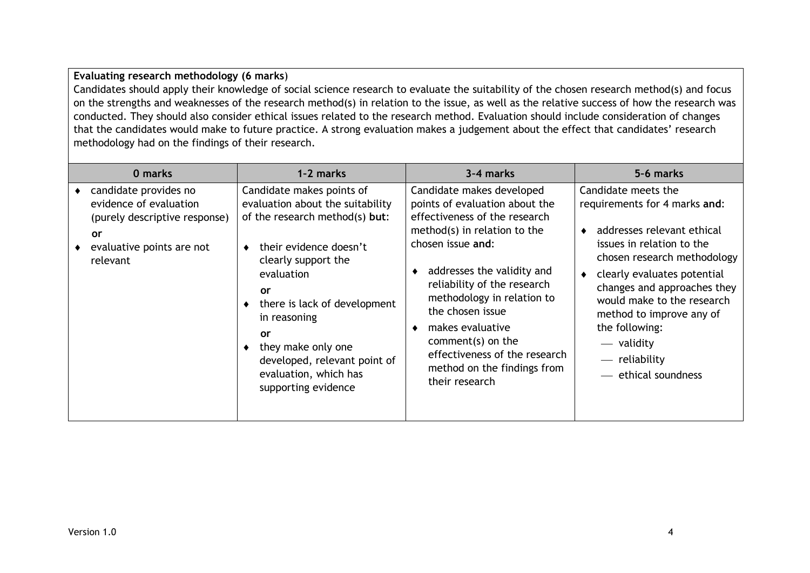#### **Evaluating research methodology (6 marks**)

Candidates should apply their knowledge of social science research to evaluate the suitability of the chosen research method(s) and focus on the strengths and weaknesses of the research method(s) in relation to the issue, as well as the relative success of how the research was conducted. They should also consider ethical issues related to the research method. Evaluation should include consideration of changes that the candidates would make to future practice. A strong evaluation makes a judgement about the effect that candidates' research methodology had on the findings of their research.

| 0 marks                                                                                                                                | 1-2 marks                                                                                                                                                                                                                                                                                                                                    | 3-4 marks                                                                                                                                                                                                                                                                                                                                                                                   | 5-6 marks                                                                                                                                                                                                                                                                                                                                      |
|----------------------------------------------------------------------------------------------------------------------------------------|----------------------------------------------------------------------------------------------------------------------------------------------------------------------------------------------------------------------------------------------------------------------------------------------------------------------------------------------|---------------------------------------------------------------------------------------------------------------------------------------------------------------------------------------------------------------------------------------------------------------------------------------------------------------------------------------------------------------------------------------------|------------------------------------------------------------------------------------------------------------------------------------------------------------------------------------------------------------------------------------------------------------------------------------------------------------------------------------------------|
| candidate provides no<br>evidence of evaluation<br>(purely descriptive response)<br><b>or</b><br>evaluative points are not<br>relevant | Candidate makes points of<br>evaluation about the suitability<br>of the research method(s) but:<br>their evidence doesn't<br>٠<br>clearly support the<br>evaluation<br>or<br>there is lack of development<br>in reasoning<br><b>or</b><br>they make only one<br>developed, relevant point of<br>evaluation, which has<br>supporting evidence | Candidate makes developed<br>points of evaluation about the<br>effectiveness of the research<br>method(s) in relation to the<br>chosen issue and:<br>addresses the validity and<br>reliability of the research<br>methodology in relation to<br>the chosen issue<br>makes evaluative<br>comment(s) on the<br>effectiveness of the research<br>method on the findings from<br>their research | Candidate meets the<br>requirements for 4 marks and:<br>addresses relevant ethical<br>issues in relation to the<br>chosen research methodology<br>clearly evaluates potential<br>changes and approaches they<br>would make to the research<br>method to improve any of<br>the following:<br>— validity<br>— reliability<br>— ethical soundness |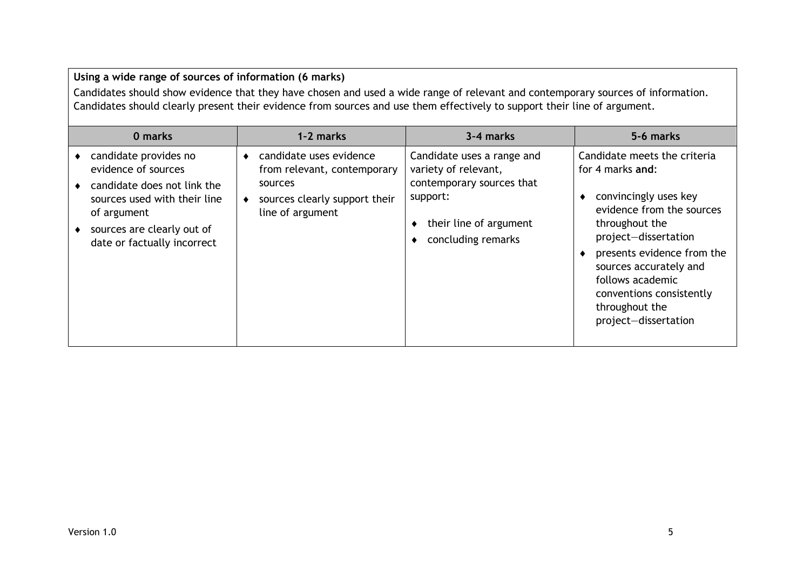| Using a wide range of sources of information (6 marks)<br>Candidates should show evidence that they have chosen and used a wide range of relevant and contemporary sources of information.<br>Candidates should clearly present their evidence from sources and use them effectively to support their line of argument. |                                                                                                                                       |                                                                                                                                             |                                                                                                                                                                                                                                                                                                         |
|-------------------------------------------------------------------------------------------------------------------------------------------------------------------------------------------------------------------------------------------------------------------------------------------------------------------------|---------------------------------------------------------------------------------------------------------------------------------------|---------------------------------------------------------------------------------------------------------------------------------------------|---------------------------------------------------------------------------------------------------------------------------------------------------------------------------------------------------------------------------------------------------------------------------------------------------------|
| 0 marks                                                                                                                                                                                                                                                                                                                 | 1-2 marks                                                                                                                             | 3-4 marks                                                                                                                                   | 5-6 marks                                                                                                                                                                                                                                                                                               |
| candidate provides no<br>evidence of sources<br>candidate does not link the<br>sources used with their line<br>of argument<br>sources are clearly out of<br>date or factually incorrect                                                                                                                                 | • candidate uses evidence<br>from relevant, contemporary<br>sources<br>sources clearly support their<br>$\bullet$<br>line of argument | Candidate uses a range and<br>variety of relevant,<br>contemporary sources that<br>support:<br>their line of argument<br>concluding remarks | Candidate meets the criteria<br>for 4 marks and:<br>convincingly uses key<br>٠<br>evidence from the sources<br>throughout the<br>project-dissertation<br>presents evidence from the<br>sources accurately and<br>follows academic<br>conventions consistently<br>throughout the<br>project-dissertation |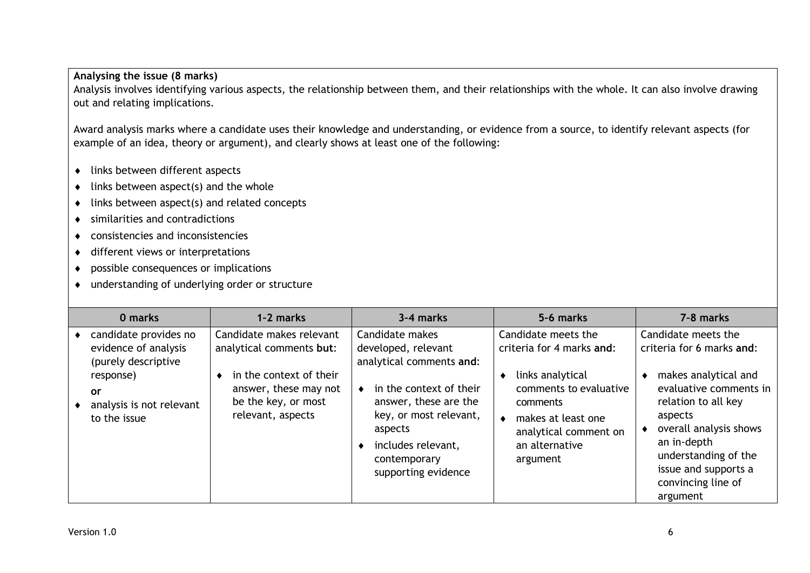#### **Analysing the issue (8 marks)**

Analysis involves identifying various aspects, the relationship between them, and their relationships with the whole. It can also involve drawing out and relating implications.

Award analysis marks where a candidate uses their knowledge and understanding, or evidence from a source, to identify relevant aspects (for example of an idea, theory or argument), and clearly shows at least one of the following:

- ◆ links between different aspects
- $\bullet$  links between aspect(s) and the whole
- $\bullet$  links between aspect(s) and related concepts
- similarities and contradictions
- consistencies and inconsistencies
- ◆ different views or interpretations
- possible consequences or implications
- understanding of underlying order or structure

| 0 marks                                                              | 1-2 marks                                                                                    | 3-4 marks                                                                                                                                          | 5-6 marks                                                                                                                                | 7-8 marks                                                                                                                                                                                                   |
|----------------------------------------------------------------------|----------------------------------------------------------------------------------------------|----------------------------------------------------------------------------------------------------------------------------------------------------|------------------------------------------------------------------------------------------------------------------------------------------|-------------------------------------------------------------------------------------------------------------------------------------------------------------------------------------------------------------|
| candidate provides no<br>evidence of analysis<br>(purely descriptive | Candidate makes relevant<br>analytical comments but:                                         | Candidate makes<br>developed, relevant<br>analytical comments and:                                                                                 | Candidate meets the<br>criteria for 4 marks and:                                                                                         | Candidate meets the<br>criteria for 6 marks and:                                                                                                                                                            |
| response)<br><b>or</b><br>analysis is not relevant<br>to the issue   | in the context of their<br>answer, these may not<br>be the key, or most<br>relevant, aspects | in the context of their<br>answer, these are the<br>key, or most relevant,<br>aspects<br>includes relevant,<br>contemporary<br>supporting evidence | links analytical<br>٠<br>comments to evaluative<br>comments<br>makes at least one<br>analytical comment on<br>an alternative<br>argument | makes analytical and<br>evaluative comments in<br>relation to all key<br>aspects<br>overall analysis shows<br>an in-depth<br>understanding of the<br>issue and supports a<br>convincing line of<br>argument |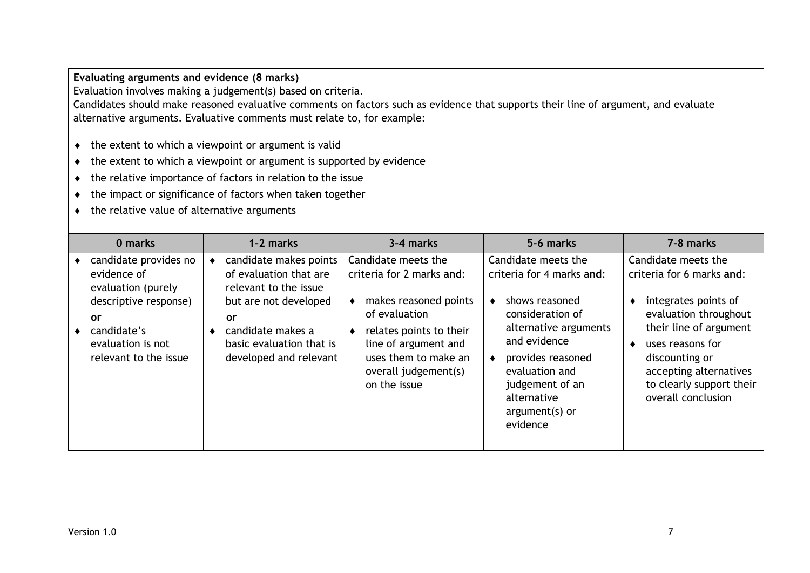**Evaluating arguments and evidence (8 marks)**

Evaluation involves making a judgement(s) based on criteria.

Candidates should make reasoned evaluative comments on factors such as evidence that supports their line of argument, and evaluate alternative arguments. Evaluative comments must relate to, for example:

- $\bullet$  the extent to which a viewpoint or argument is valid
- $\bullet$  the extent to which a viewpoint or argument is supported by evidence
- the relative importance of factors in relation to the issue
- $\bullet$  the impact or significance of factors when taken together
- $\bullet$  the relative value of alternative arguments

| 0 marks                                                                                                                                                       | 1-2 marks                                                                                                                                                                           | 3-4 marks                                                                                                                                                                                                          | 5-6 marks                                                                                                                                                                                                                              | 7-8 marks                                                                                                                                                                                                                                     |
|---------------------------------------------------------------------------------------------------------------------------------------------------------------|-------------------------------------------------------------------------------------------------------------------------------------------------------------------------------------|--------------------------------------------------------------------------------------------------------------------------------------------------------------------------------------------------------------------|----------------------------------------------------------------------------------------------------------------------------------------------------------------------------------------------------------------------------------------|-----------------------------------------------------------------------------------------------------------------------------------------------------------------------------------------------------------------------------------------------|
| candidate provides no<br>evidence of<br>evaluation (purely<br>descriptive response)<br><b>or</b><br>candidate's<br>evaluation is not<br>relevant to the issue | candidate makes points<br>of evaluation that are<br>relevant to the issue<br>but are not developed<br>or<br>candidate makes a<br>basic evaluation that is<br>developed and relevant | Candidate meets the<br>criteria for 2 marks and:<br>makes reasoned points<br>٠<br>of evaluation<br>relates points to their<br>line of argument and<br>uses them to make an<br>overall judgement(s)<br>on the issue | Candidate meets the<br>criteria for 4 marks and:<br>shows reasoned<br>consideration of<br>alternative arguments<br>and evidence<br>provides reasoned<br>evaluation and<br>judgement of an<br>alternative<br>argument(s) or<br>evidence | Candidate meets the<br>criteria for 6 marks and:<br>integrates points of<br>evaluation throughout<br>their line of argument<br>uses reasons for<br>discounting or<br>accepting alternatives<br>to clearly support their<br>overall conclusion |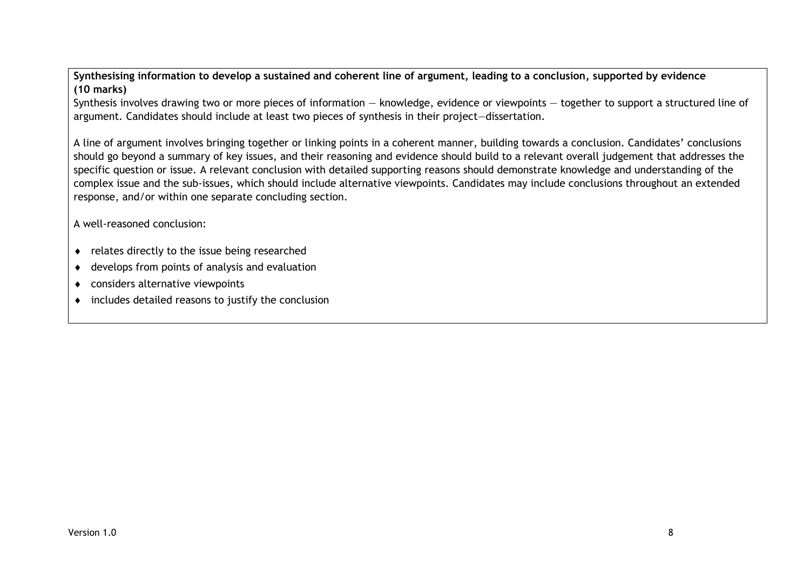**Synthesising information to develop a sustained and coherent line of argument, leading to a conclusion, supported by evidence (10 marks)**

Synthesis involves drawing two or more pieces of information — knowledge, evidence or viewpoints — together to support a structured line of argument. Candidates should include at least two pieces of synthesis in their project—dissertation.

A line of argument involves bringing together or linking points in a coherent manner, building towards a conclusion. Candidates' conclusions should go beyond a summary of key issues, and their reasoning and evidence should build to a relevant overall judgement that addresses the specific question or issue. A relevant conclusion with detailed supporting reasons should demonstrate knowledge and understanding of the complex issue and the sub-issues, which should include alternative viewpoints. Candidates may include conclusions throughout an extended response, and/or within one separate concluding section.

A well-reasoned conclusion:

- relates directly to the issue being researched
- develops from points of analysis and evaluation
- considers alternative viewpoints
- includes detailed reasons to justify the conclusion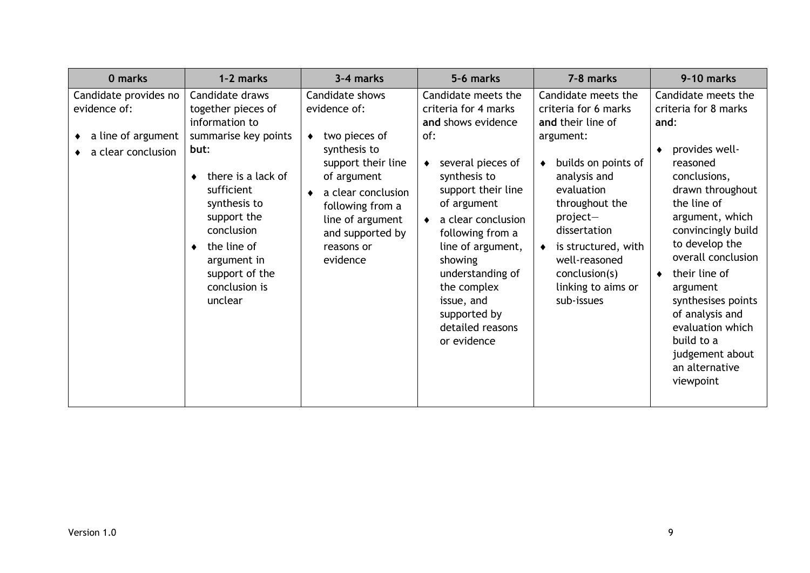| 0 marks                                                                           | 1-2 marks                                                                                                                                                                                                                                                      | 3-4 marks                                                                                                                                                                                                         | 5-6 marks                                                                                                                                                                                                                                                                                                                                          | 7-8 marks                                                                                                                                                                                                                                                                     | 9-10 marks                                                                                                                                                                                                                                                                                                                                                                      |
|-----------------------------------------------------------------------------------|----------------------------------------------------------------------------------------------------------------------------------------------------------------------------------------------------------------------------------------------------------------|-------------------------------------------------------------------------------------------------------------------------------------------------------------------------------------------------------------------|----------------------------------------------------------------------------------------------------------------------------------------------------------------------------------------------------------------------------------------------------------------------------------------------------------------------------------------------------|-------------------------------------------------------------------------------------------------------------------------------------------------------------------------------------------------------------------------------------------------------------------------------|---------------------------------------------------------------------------------------------------------------------------------------------------------------------------------------------------------------------------------------------------------------------------------------------------------------------------------------------------------------------------------|
| Candidate provides no<br>evidence of:<br>a line of argument<br>a clear conclusion | Candidate draws<br>together pieces of<br>information to<br>summarise key points<br>but:<br>there is a lack of<br>٠<br>sufficient<br>synthesis to<br>support the<br>conclusion<br>the line of<br>٠<br>argument in<br>support of the<br>conclusion is<br>unclear | Candidate shows<br>evidence of:<br>two pieces of<br>synthesis to<br>support their line<br>of argument<br>a clear conclusion<br>following from a<br>line of argument<br>and supported by<br>reasons or<br>evidence | Candidate meets the<br>criteria for 4 marks<br>and shows evidence<br>of:<br>several pieces of<br>٠<br>synthesis to<br>support their line<br>of argument<br>a clear conclusion<br>$\bullet$<br>following from a<br>line of argument,<br>showing<br>understanding of<br>the complex<br>issue, and<br>supported by<br>detailed reasons<br>or evidence | Candidate meets the<br>criteria for 6 marks<br>and their line of<br>argument:<br>builds on points of<br>analysis and<br>evaluation<br>throughout the<br>project-<br>dissertation<br>is structured, with<br>well-reasoned<br>conclusion(s)<br>linking to aims or<br>sub-issues | Candidate meets the<br>criteria for 8 marks<br>and:<br>provides well-<br>reasoned<br>conclusions,<br>drawn throughout<br>the line of<br>argument, which<br>convincingly build<br>to develop the<br>overall conclusion<br>their line of<br>argument<br>synthesises points<br>of analysis and<br>evaluation which<br>build to a<br>judgement about<br>an alternative<br>viewpoint |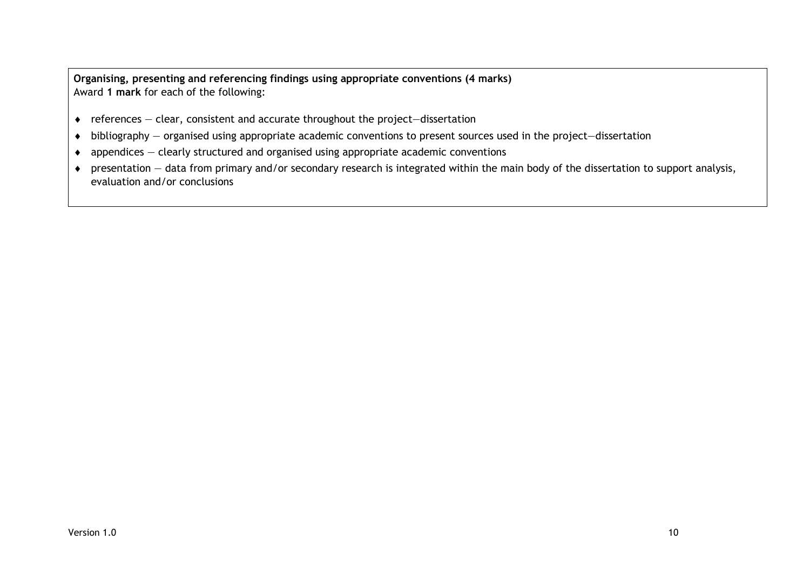**Organising, presenting and referencing findings using appropriate conventions (4 marks)** Award **1 mark** for each of the following:

- $\bullet$  references clear, consistent and accurate throughout the project–dissertation
- bibliography organised using appropriate academic conventions to present sources used in the project—dissertation
- $\bullet$  appendices clearly structured and organised using appropriate academic conventions
- presentation data from primary and/or secondary research is integrated within the main body of the dissertation to support analysis, evaluation and/or conclusions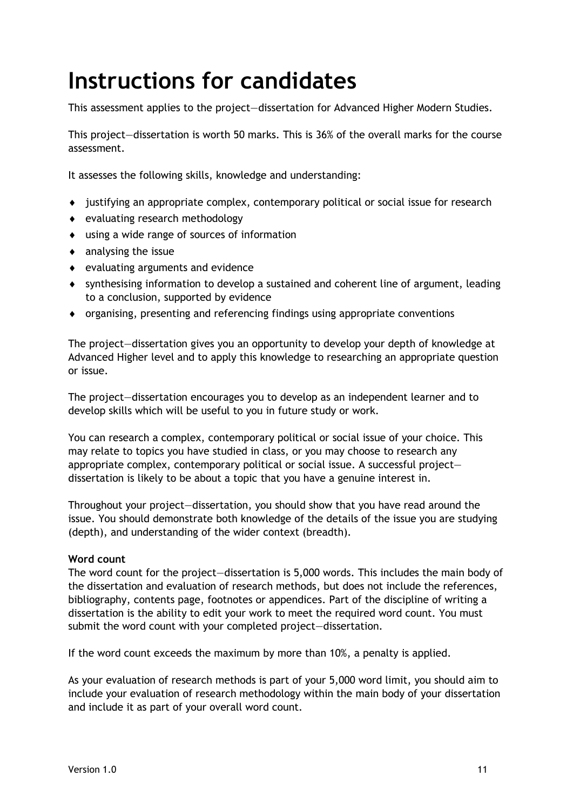## <span id="page-12-0"></span>**Instructions for candidates**

This assessment applies to the project—dissertation for Advanced Higher Modern Studies.

This project—dissertation is worth 50 marks. This is 36% of the overall marks for the course assessment.

It assesses the following skills, knowledge and understanding:

- justifying an appropriate complex, contemporary political or social issue for research
- evaluating research methodology
- using a wide range of sources of information
- $\bullet$  analysing the issue
- evaluating arguments and evidence
- synthesising information to develop a sustained and coherent line of argument, leading to a conclusion, supported by evidence
- organising, presenting and referencing findings using appropriate conventions

The project—dissertation gives you an opportunity to develop your depth of knowledge at Advanced Higher level and to apply this knowledge to researching an appropriate question or issue.

The project—dissertation encourages you to develop as an independent learner and to develop skills which will be useful to you in future study or work.

You can research a complex, contemporary political or social issue of your choice. This may relate to topics you have studied in class, or you may choose to research any appropriate complex, contemporary political or social issue. A successful project dissertation is likely to be about a topic that you have a genuine interest in.

Throughout your project—dissertation, you should show that you have read around the issue. You should demonstrate both knowledge of the details of the issue you are studying (depth), and understanding of the wider context (breadth).

#### **Word count**

The word count for the project—dissertation is 5,000 words. This includes the main body of the dissertation and evaluation of research methods, but does not include the references, bibliography, contents page, footnotes or appendices. Part of the discipline of writing a dissertation is the ability to edit your work to meet the required word count. You must submit the word count with your completed project—dissertation.

If the word count exceeds the maximum by more than 10%, a penalty is applied.

As your evaluation of research methods is part of your 5,000 word limit, you should aim to include your evaluation of research methodology within the main body of your dissertation and include it as part of your overall word count.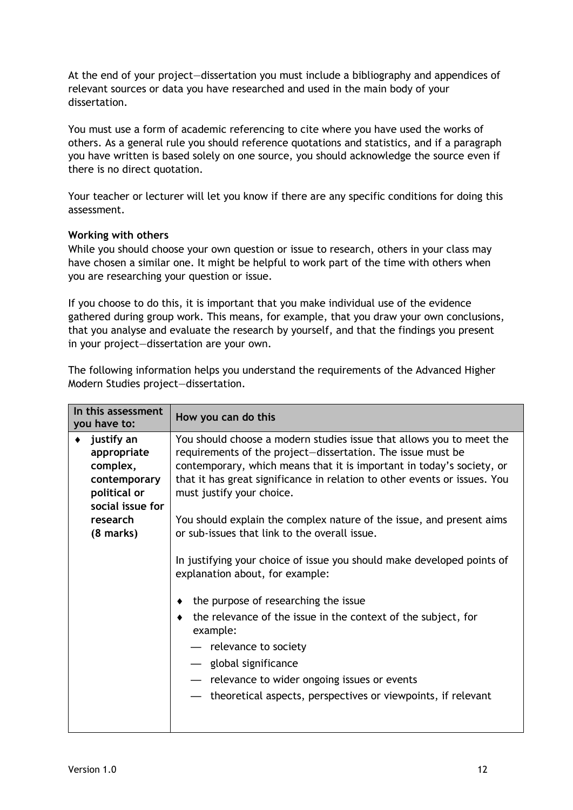At the end of your project—dissertation you must include a bibliography and appendices of relevant sources or data you have researched and used in the main body of your dissertation.

You must use a form of academic referencing to cite where you have used the works of others. As a general rule you should reference quotations and statistics, and if a paragraph you have written is based solely on one source, you should acknowledge the source even if there is no direct quotation.

Your teacher or lecturer will let you know if there are any specific conditions for doing this assessment.

#### **Working with others**

While you should choose your own question or issue to research, others in your class may have chosen a similar one. It might be helpful to work part of the time with others when you are researching your question or issue.

If you choose to do this, it is important that you make individual use of the evidence gathered during group work. This means, for example, that you draw your own conclusions, that you analyse and evaluate the research by yourself, and that the findings you present in your project—dissertation are your own.

The following information helps you understand the requirements of the Advanced Higher Modern Studies project—dissertation.

| justify an<br>You should choose a modern studies issue that allows you to meet the                                                                                                                                                                                                                                                                                                                                                                                                                                                                                                                                                                                                                                                                                                                                | In this assessment<br>you have to: | How you can do this                                         |
|-------------------------------------------------------------------------------------------------------------------------------------------------------------------------------------------------------------------------------------------------------------------------------------------------------------------------------------------------------------------------------------------------------------------------------------------------------------------------------------------------------------------------------------------------------------------------------------------------------------------------------------------------------------------------------------------------------------------------------------------------------------------------------------------------------------------|------------------------------------|-------------------------------------------------------------|
| complex,<br>contemporary, which means that it is important in today's society, or<br>that it has great significance in relation to other events or issues. You<br>contemporary<br>political or<br>must justify your choice.<br>social issue for<br>You should explain the complex nature of the issue, and present aims<br>research<br>or sub-issues that link to the overall issue.<br>$(8 \text{ marks})$<br>In justifying your choice of issue you should make developed points of<br>explanation about, for example:<br>the purpose of researching the issue<br>the relevance of the issue in the context of the subject, for<br>example:<br>- relevance to society<br>— global significance<br>- relevance to wider ongoing issues or events<br>theoretical aspects, perspectives or viewpoints, if relevant | appropriate                        | requirements of the project-dissertation. The issue must be |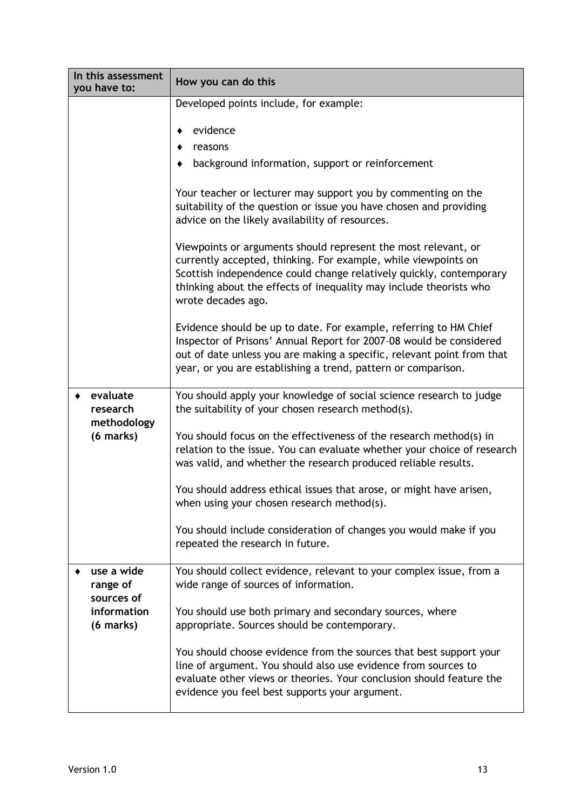| In this assessment<br>you have to:   | How you can do this                                                                                                                                                                                                                                                                                 |
|--------------------------------------|-----------------------------------------------------------------------------------------------------------------------------------------------------------------------------------------------------------------------------------------------------------------------------------------------------|
|                                      | Developed points include, for example:                                                                                                                                                                                                                                                              |
|                                      | evidence                                                                                                                                                                                                                                                                                            |
|                                      | reasons                                                                                                                                                                                                                                                                                             |
|                                      | background information, support or reinforcement                                                                                                                                                                                                                                                    |
|                                      | Your teacher or lecturer may support you by commenting on the<br>suitability of the question or issue you have chosen and providing<br>advice on the likely availability of resources.                                                                                                              |
|                                      | Viewpoints or arguments should represent the most relevant, or<br>currently accepted, thinking. For example, while viewpoints on<br>Scottish independence could change relatively quickly, contemporary<br>thinking about the effects of inequality may include theorists who<br>wrote decades ago. |
|                                      | Evidence should be up to date. For example, referring to HM Chief<br>Inspector of Prisons' Annual Report for 2007-08 would be considered<br>out of date unless you are making a specific, relevant point from that<br>year, or you are establishing a trend, pattern or comparison.                 |
| evaluate<br>research<br>methodology  | You should apply your knowledge of social science research to judge<br>the suitability of your chosen research method(s).                                                                                                                                                                           |
| (6 marks)                            | You should focus on the effectiveness of the research method(s) in<br>relation to the issue. You can evaluate whether your choice of research<br>was valid, and whether the research produced reliable results.                                                                                     |
|                                      | You should address ethical issues that arose, or might have arisen,<br>when using your chosen research method(s).                                                                                                                                                                                   |
|                                      | You should include consideration of changes you would make if you<br>repeated the research in future.                                                                                                                                                                                               |
| use a wide<br>range of<br>sources of | You should collect evidence, relevant to your complex issue, from a<br>wide range of sources of information.                                                                                                                                                                                        |
| information<br>(6 marks)             | You should use both primary and secondary sources, where<br>appropriate. Sources should be contemporary.                                                                                                                                                                                            |
|                                      | You should choose evidence from the sources that best support your<br>line of argument. You should also use evidence from sources to<br>evaluate other views or theories. Your conclusion should feature the<br>evidence you feel best supports your argument.                                      |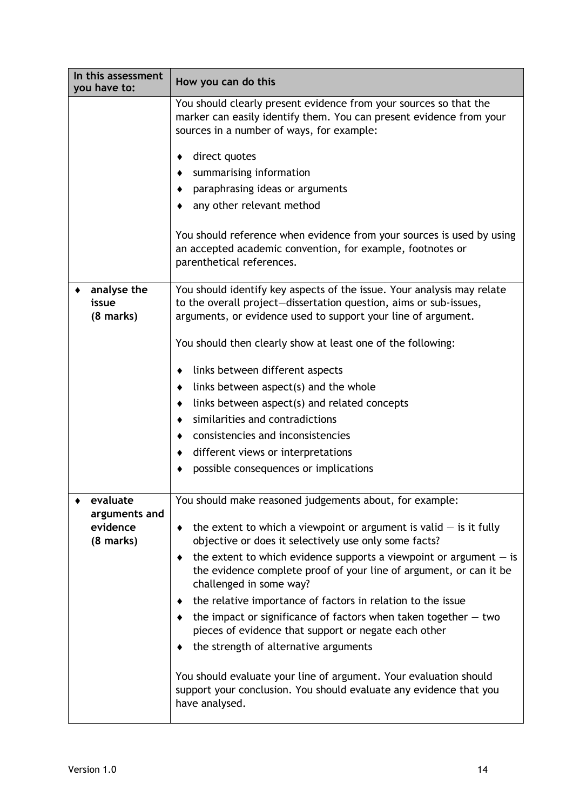| In this assessment<br>you have to:          | How you can do this                                                                                                                                                                                          |
|---------------------------------------------|--------------------------------------------------------------------------------------------------------------------------------------------------------------------------------------------------------------|
|                                             | You should clearly present evidence from your sources so that the<br>marker can easily identify them. You can present evidence from your<br>sources in a number of ways, for example:                        |
|                                             | direct quotes<br>٠                                                                                                                                                                                           |
|                                             | summarising information                                                                                                                                                                                      |
|                                             | paraphrasing ideas or arguments                                                                                                                                                                              |
|                                             | any other relevant method                                                                                                                                                                                    |
|                                             | You should reference when evidence from your sources is used by using<br>an accepted academic convention, for example, footnotes or<br>parenthetical references.                                             |
| analyse the<br>issue<br>$(8 \text{ marks})$ | You should identify key aspects of the issue. Your analysis may relate<br>to the overall project-dissertation question, aims or sub-issues,<br>arguments, or evidence used to support your line of argument. |
|                                             | You should then clearly show at least one of the following:                                                                                                                                                  |
|                                             | links between different aspects<br>٠                                                                                                                                                                         |
|                                             | links between aspect(s) and the whole<br>٠                                                                                                                                                                   |
|                                             | links between aspect(s) and related concepts<br>٠                                                                                                                                                            |
|                                             | similarities and contradictions                                                                                                                                                                              |
|                                             | consistencies and inconsistencies                                                                                                                                                                            |
|                                             | different views or interpretations<br>$\bullet$                                                                                                                                                              |
|                                             | possible consequences or implications                                                                                                                                                                        |
| evaluate<br>arguments and                   | You should make reasoned judgements about, for example:                                                                                                                                                      |
| evidence<br>$(8$ marks)                     | the extent to which a viewpoint or argument is valid $-$ is it fully<br>٠<br>objective or does it selectively use only some facts?                                                                           |
|                                             | the extent to which evidence supports a viewpoint or argument $-$ is<br>٠<br>the evidence complete proof of your line of argument, or can it be<br>challenged in some way?                                   |
|                                             | the relative importance of factors in relation to the issue<br>٠                                                                                                                                             |
|                                             | the impact or significance of factors when taken together $-$ two<br>pieces of evidence that support or negate each other                                                                                    |
|                                             | the strength of alternative arguments                                                                                                                                                                        |
|                                             | You should evaluate your line of argument. Your evaluation should<br>support your conclusion. You should evaluate any evidence that you<br>have analysed.                                                    |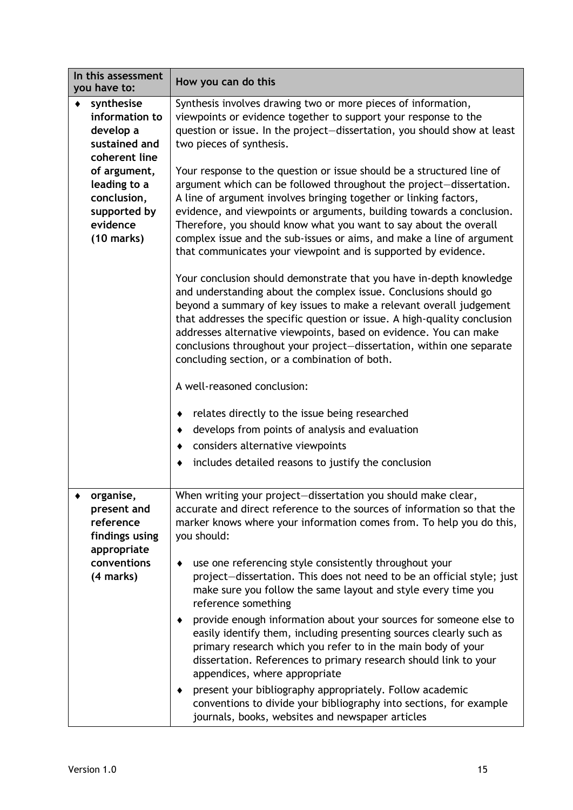| In this assessment<br>you have to:                                                                 | How you can do this                                                                                                                                                                                                                                                                                                                                                                                                                                                                                                                                                                                                                                                                                                                                                                                                                                                                                                                                                    |
|----------------------------------------------------------------------------------------------------|------------------------------------------------------------------------------------------------------------------------------------------------------------------------------------------------------------------------------------------------------------------------------------------------------------------------------------------------------------------------------------------------------------------------------------------------------------------------------------------------------------------------------------------------------------------------------------------------------------------------------------------------------------------------------------------------------------------------------------------------------------------------------------------------------------------------------------------------------------------------------------------------------------------------------------------------------------------------|
| synthesise<br>information to<br>develop a<br>sustained and<br>coherent line                        | Synthesis involves drawing two or more pieces of information,<br>viewpoints or evidence together to support your response to the<br>question or issue. In the project-dissertation, you should show at least<br>two pieces of synthesis.                                                                                                                                                                                                                                                                                                                                                                                                                                                                                                                                                                                                                                                                                                                               |
| of argument,<br>leading to a<br>conclusion,<br>supported by<br>evidence<br>$(10 \text{ marks})$    | Your response to the question or issue should be a structured line of<br>argument which can be followed throughout the project-dissertation.<br>A line of argument involves bringing together or linking factors,<br>evidence, and viewpoints or arguments, building towards a conclusion.<br>Therefore, you should know what you want to say about the overall<br>complex issue and the sub-issues or aims, and make a line of argument<br>that communicates your viewpoint and is supported by evidence.                                                                                                                                                                                                                                                                                                                                                                                                                                                             |
|                                                                                                    | Your conclusion should demonstrate that you have in-depth knowledge<br>and understanding about the complex issue. Conclusions should go<br>beyond a summary of key issues to make a relevant overall judgement<br>that addresses the specific question or issue. A high-quality conclusion<br>addresses alternative viewpoints, based on evidence. You can make<br>conclusions throughout your project-dissertation, within one separate<br>concluding section, or a combination of both.                                                                                                                                                                                                                                                                                                                                                                                                                                                                              |
|                                                                                                    | A well-reasoned conclusion:                                                                                                                                                                                                                                                                                                                                                                                                                                                                                                                                                                                                                                                                                                                                                                                                                                                                                                                                            |
|                                                                                                    | relates directly to the issue being researched<br>٠<br>develops from points of analysis and evaluation<br>$\bullet$<br>considers alternative viewpoints<br>$\blacklozenge$<br>includes detailed reasons to justify the conclusion<br>٠                                                                                                                                                                                                                                                                                                                                                                                                                                                                                                                                                                                                                                                                                                                                 |
| organise,<br>present and<br>reference<br>findings using<br>appropriate<br>conventions<br>(4 marks) | When writing your project-dissertation you should make clear,<br>accurate and direct reference to the sources of information so that the<br>marker knows where your information comes from. To help you do this,<br>you should:<br>use one referencing style consistently throughout your<br>٠<br>project-dissertation. This does not need to be an official style; just<br>make sure you follow the same layout and style every time you<br>reference something<br>provide enough information about your sources for someone else to<br>easily identify them, including presenting sources clearly such as<br>primary research which you refer to in the main body of your<br>dissertation. References to primary research should link to your<br>appendices, where appropriate<br>present your bibliography appropriately. Follow academic<br>conventions to divide your bibliography into sections, for example<br>journals, books, websites and newspaper articles |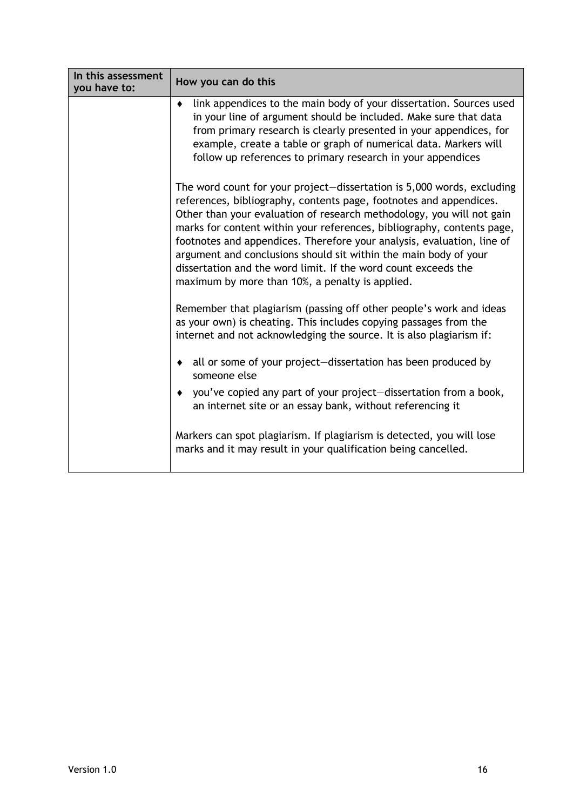| In this assessment<br>you have to: | How you can do this                                                                                                                                                                                                                                                                                                                                                                                                                                                                                                                                                |
|------------------------------------|--------------------------------------------------------------------------------------------------------------------------------------------------------------------------------------------------------------------------------------------------------------------------------------------------------------------------------------------------------------------------------------------------------------------------------------------------------------------------------------------------------------------------------------------------------------------|
|                                    | link appendices to the main body of your dissertation. Sources used<br>$\bullet$<br>in your line of argument should be included. Make sure that data<br>from primary research is clearly presented in your appendices, for<br>example, create a table or graph of numerical data. Markers will<br>follow up references to primary research in your appendices                                                                                                                                                                                                      |
|                                    | The word count for your project-dissertation is 5,000 words, excluding<br>references, bibliography, contents page, footnotes and appendices.<br>Other than your evaluation of research methodology, you will not gain<br>marks for content within your references, bibliography, contents page,<br>footnotes and appendices. Therefore your analysis, evaluation, line of<br>argument and conclusions should sit within the main body of your<br>dissertation and the word limit. If the word count exceeds the<br>maximum by more than 10%, a penalty is applied. |
|                                    | Remember that plagiarism (passing off other people's work and ideas<br>as your own) is cheating. This includes copying passages from the<br>internet and not acknowledging the source. It is also plagiarism if:                                                                                                                                                                                                                                                                                                                                                   |
|                                    | all or some of your project-dissertation has been produced by<br>٠<br>someone else                                                                                                                                                                                                                                                                                                                                                                                                                                                                                 |
|                                    | • you've copied any part of your project-dissertation from a book,<br>an internet site or an essay bank, without referencing it                                                                                                                                                                                                                                                                                                                                                                                                                                    |
|                                    | Markers can spot plagiarism. If plagiarism is detected, you will lose<br>marks and it may result in your qualification being cancelled.                                                                                                                                                                                                                                                                                                                                                                                                                            |